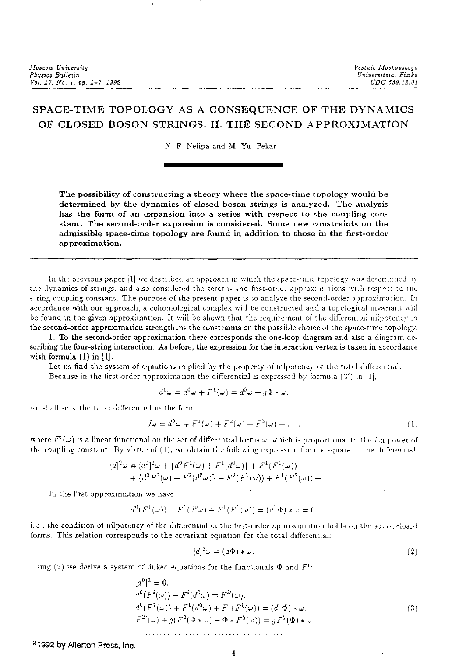## SPACE-TIME TOPOLOGY AS A CONSEQUENCE OF THE DYNAMICS OF CLOSED BOSON STRINGS. II. THE SECOND APPROXIMATION

N. F. Nelipa and M. Yu. Pekar

The possibility of constructing a theory where the space-time topology would be determined by the dynamics of closed boson strings is analyzed. The analysis has the form of an expansion into a series with respect to the coupling constant. The second-order expansion is considered. Some new constraints on the admissible space-time topology are found in addition to those in the first-order approximation.

In the previous paper [1] we described an approach in which the space-time topology was determined by the dynamics of strings, and also considered the zeroth- and first-order approximations with respect to the string coupling constant. The purpose of the present paper is to analyze the second-order approximation. In accordance with our approach, a cohomological complex will be constructed and a topological invariant will be found in the given approximation. It will be shown that the requirement of the differential nilpotency in the second-order approximation strengthens the constraints on the possible choice of the space-time topology.

1. To the second-order approximation there corresponds the one-loop diagram and also a diagram describing the four-string interaction. As before, the expression for the interaction vertex is taken in accordance with formula  $(1)$  in  $[1]$ .

Let us find the system of equations implied by the property of nilpotency of the total differential. Because in the first-order approximation the differential is expressed by formula  $(3')$  in [1],

$$
d^1\omega = d^0\omega + F^1(\omega) = d^0\omega + g\Phi * \omega,
$$

we shall seek the total differential in the form

$$
d\omega = d^0 \omega + F^1(\omega) + F^2(\omega) + F^3(\omega) + \dots \tag{1}
$$

where  $F^i(\omega)$  is a linear functional on the set of differential forms  $\omega$ , which is proportional to the *i*th power of the coupling constant. By virtue of (1), we obtain the following expression for the square of the differential:

$$
[d]^2 \omega = [d^0]^2 \omega + \{d^0 F^1(\omega) + F^1(d^0 \omega)\} + F^1(F^1(\omega))
$$
  
+ 
$$
\{d^0 F^2(\omega) + F^2(d^0 \omega)\} + F^2(F^1(\omega)) + F^1(F^2(\omega)) + \dots
$$

In the first approximation we have

$$
d^{0}(F^{1}(\omega)) + F^{1}(d^{0}\omega) + F^{1}(F^{1}(\omega)) = (d^{1}\Phi) * \omega = 0
$$

i.e., the condition of nilpotency of the differential in the first-order approximation holds on the set of closed forms. This relation corresponds to the covariant equation for the total differential:

$$
[d]^2 \omega = (d\Phi) * \omega. \tag{2}
$$

Using (2) we derive a system of linked equations for the functionals  $\Phi$  and  $F^i$ :

$$
[d^{0}]^{2} = 0,
$$
  
\n
$$
d^{0}(F^{i}(\omega)) + F^{i}(d^{0}\omega) = F^{i}(\omega),
$$
  
\n
$$
d^{0}(F^{1}(\omega)) + F^{1}(d^{0}\omega) + F^{1}(F^{1}(\omega)) = (d^{1}\Phi) * \omega,
$$
  
\n
$$
F^{2i}(\omega) + g(F^{2}(\Phi * \omega) + \Phi * F^{2}(\omega)) = gF^{2}(\Phi) * \omega.
$$
\n(3)

<sup>9</sup>1992 by Allerton Press, Inc.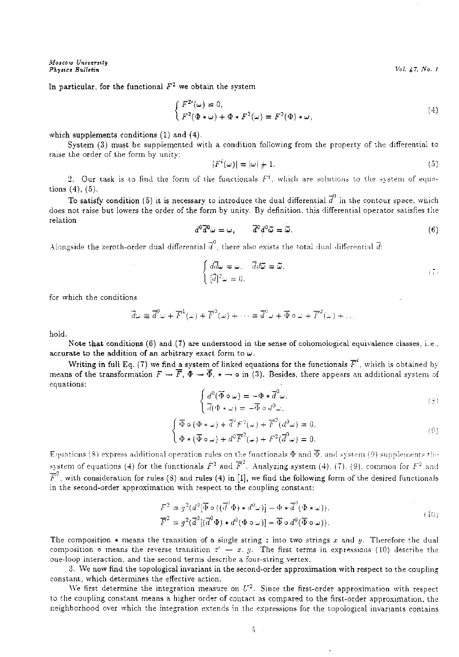In particular, for the functional  $F^2$  we obtain the system

$$
\begin{cases}\nF^{2\prime}(\omega) = 0, \\
F^2(\Phi * \omega) + \Phi * F^2(\omega) = F^2(\Phi) * \omega,\n\end{cases}
$$
\n(4)

which supplements conditions  $(1)$  and  $(4)$ .

System (3) must be supplemented with a condition following from the property of the differential to raise the order of the form by unity:

$$
|F^i(\omega)| = |\omega| + 1. \tag{5}
$$

2. Our task is to find the form of the functionals  $F^i$ , which are solutions to the system of equations (4), (5).

To satisfy condition (5) it is necessary to introduce the dual differential  $\overline{d}^0$  in the contour space, which does not raise but lowers the order of the form by unity. By definition, this differential operator satisfies the relation

$$
d^0 \overline{d}^0 \omega = \omega, \qquad \overline{d}^0 \overline{d}^0 \widetilde{\omega} = \widetilde{\omega}.
$$
 (6)

Alongside the zeroth-order dual differential  $\vec{d}^0$ , there also exists the total dual differential  $\vec{d}$ :

$$
\begin{cases}\n d\overline{d}\omega = \omega, & d\overline{\omega} = \overline{\omega}, \\
 [\overline{d}]^2 \omega = 0,\n\end{cases} (7)
$$

for which the conditions

$$
\vec{d}\omega \equiv \vec{d}^0 \omega + \vec{F}^1(\omega) + \vec{F}^2(\omega) + \cdots = \vec{d}^0 \omega + \vec{\Phi} \circ \omega + \vec{F}^2(\omega) + \cdots
$$

hold.

Note that conditions (6) and (7) are understood in the sense of cohomological equivalence classes, i.e., accurate to the addition of an arbitrary exact form to  $\omega$ .

Writing in full Eq. (7) we find a system of linked equations for the functionals  $\overline{F}^i$ , which is obtained by means of the transformation  $F \to \overline{F}$ ,  $\Phi \to \overline{\Phi}$ ,  $* \to \infty$  in (3). Besides, there appears an additional system of equations:

$$
\begin{cases}\n d^0(\overline{\Phi}\circ\omega) = -\Phi * \overline{d}^0\omega, \\
 \overline{d}(\Phi * \omega) = -\overline{\Phi}\circ d^0\omega.\n\end{cases}
$$
\n(8)

$$
\begin{cases}\n\overline{\Phi} \circ (\Phi * \omega) + \overline{d}^0 F^2(\omega) + \overline{F}^2(d^0 \omega) = 0, \\
\Phi * (\overline{\Phi} \circ \omega) + d^0 \overline{F}^2(\omega) + F^2(\overline{d}^0 \omega) = 0.\n\end{cases}
$$
\n(9)

Equations (8) express additional operation rules on the functionals  $\Phi$  and  $\overline{\Phi}$ , and system (9) supplements the system of equations (4) for the functionals  $F^2$  and  $\overline{F}^2$ . Analyzing system (4), (7), (9). common for  $F^2$  and  $\overline{F}^2$ , with consideration for rules (8) and rules (4) in [1], we find the following form of the desired functionals in the second-order approximation with respect to the coupling constant:

$$
F^2 = g^2(d^3[\overline{\Phi} \circ ((\overline{d}^3 \Phi) * d^0 \omega)] - \Phi * \overline{d}^0(\Phi * \omega)),
$$
  
\n
$$
\overline{F}^2 = g^2(\overline{d}^0[(\overline{d}^0 \Phi) * d^0(\Phi \circ \omega)] - \overline{\Phi} \circ d^0(\overline{\Phi} \circ \omega)).
$$
\n(10)

The composition  $*$  means the transition of a single string *z* into two strings *x* and *y*. Therefore the dual composition  $\circ$  means the reverse transition  $z' - x$ , y. The first terms in expressions (10) describe the one-loop interaction, and the second terms describe a four-string vertex.

3. We now find the topological invariant in the second-order approximation with respect to the coupling constant, which determines the effective action.

We first determine the integration measure on  $U^2$ . Since the first-order approximation with respect to the coupling constant means a higher order of contact as compared to the first-order approximation. the neighborhood over which the integration extends in the expressions for the topological invariants contains

:)

 $Vol. 47, No. 1$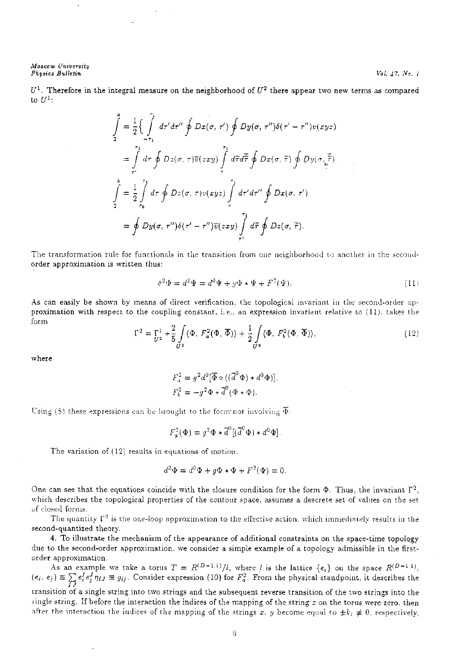## *.1\1oscow University Phy\$ics B'U.lletin*

 $U^1$ . Therefore in the integral measure on the neighborhood of  $U^2$  there appear two new terms as compared to  $U^1$ :

$$
\int_{2}^{a} = \frac{1}{2} \left\{ \int_{-\tau_{1}}^{\tau_{1}} dr' dr'' \oint Dx(\sigma, \tau') \oint Dy(\sigma, \tau'') \delta(\tau' - \tau'') v(xyz) \right\}
$$
\n
$$
= \int_{\tau'}^{\tau_{1}} dr \oint Dz(\sigma, \tau) \overline{v}(zxy) \int_{\tau}^{\tau_{1}} d\tilde{\tau} d\tilde{\tau} \oint Dx(\sigma, \tilde{\tau}) \oint Dy(\sigma, \tilde{\tau})
$$
\n
$$
\int_{2}^{b} = \frac{1}{2} \int_{\tau_{0}}^{\tau_{1}} dr \oint Dz(\sigma, \tau) v(xyz) \int_{\tau}^{\tau_{1}} dr' dr'' \oint Dx(\sigma, \tau')
$$
\n
$$
= \oint Dy(\sigma, \tau'') \delta(\tau' - \tau'') \overline{v}(zxy) \int_{\tau'}^{\tau_{1}} d\tilde{\tau} \oint Dz(\sigma, \tilde{\tau}).
$$

The transformation rule for functionals in the transition from one neighborhood to another in the secondorder approximation is written thus:

$$
\delta^2 \Phi = d^2 \Psi = d^0 \Psi + g \Phi * \Psi + F^2(\Psi). \tag{11}
$$

As can easily be shown by means of direct verification, the topological invariant in the second-order approximation with respect to the coupliug constant, i.e .. an expression invariant relative to *(* 11). takes the form

$$
\Gamma^2 = \Gamma^1_{U^2} + \frac{2}{5} \int\limits_{U^2} \langle \Phi, F_a^2(\Phi, \overline{\Phi}) \rangle + \frac{1}{2} \int\limits_{U^2} \langle \Phi, F_b^2(\Phi, \overline{\Phi}) \rangle, \tag{12}
$$

where

$$
F_a^2 = g^2 d^0 [\overline{\Phi} \circ ((\overline{d}^0 \Phi) * d^0 \Phi)],
$$
  

$$
F_b^2 = -g^2 \Phi * \overline{d}^0 (\Phi * \Phi).
$$

Using (8) these expressions can be brought to the form not involving  $\overline{\Phi}$ :

$$
F_a^2(\Phi) = g^2 \Phi \ast \overline{d}^0 [(\overline{d}^0 \Phi) \ast d^0 \Phi].
$$

The variation of  $(12)$  results in equations of motion:

$$
d^2\Phi = d^0\Phi + q\Phi * \Phi + F^2(\Phi) = 0.
$$

One can see that the equations coincide with the closure condition for the form  $\Phi$ . Thus, the invariant  $\Gamma^2$ , which describes the topological properties of the contour space, assumes a descrete set of values on the set of closed forms.

The quantity  $\Gamma^2$  is the one-loop approximation to the effective action, which immediately results in the second-quantized theory.

4. To illustrate the mechanism of the appearance of additional constraints on the space-time topology due to the second-order approximation. we consider a simple example of a topology admissible in the firstorder approximation.

As an example we take a torus  $T = R^{(D-1,1)}/l$ , where *l* is the lattice  ${e_i}$  on the space  $R^{(D-1,1)}$ ,  $(e_i, e_j) \equiv \sum_{I,j} e_i^I e_j^J \eta_{IJ} \equiv g_{ij}$ . Consider expression (10) for *F<sub>3</sub>*. From the physical standpoint, it describes the transition of a single string into two strings and the subsequent reverse transition of the two strings into the single string. If before the interaction the indices of the mapping of the string *z* on the torus were zero, then after the interaction the indices of the mapping of the strings x. y become equal to  $\pm k_i \neq 0$ . respectively,